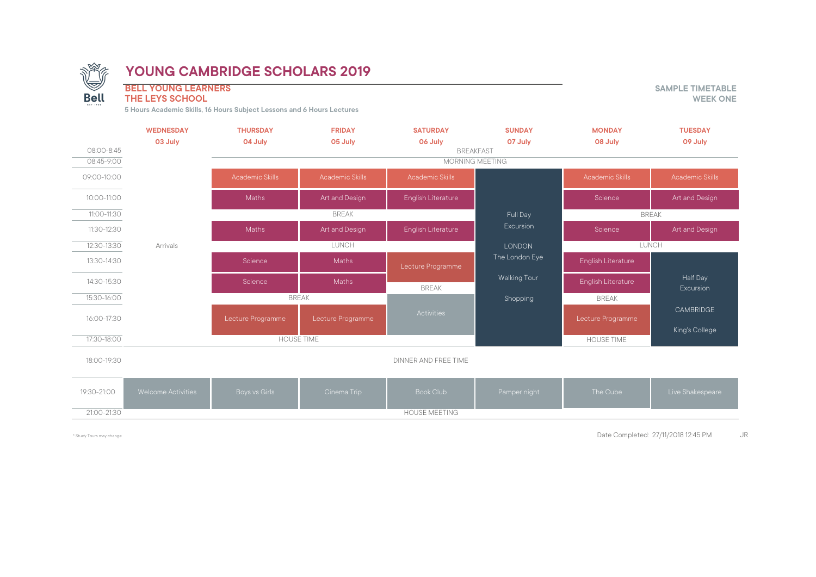

**BELL YOUNG LEARNERS**<br> **BELL YOUNG LEARNERS**<br> **THE LEYS SCHOOL** 

### **THE LEYS SCHOOL**

**5 Hours Academic Skills, 16 Hours Subject Lessons and 6 Hours Lectures**

| 08:00-8:45     | <b>WEDNESDAY</b><br>03 July | <b>THURSDAY</b><br>04 July | <b>FRIDAY</b><br>05 July | <b>SATURDAY</b><br>06 July | <b>SUNDAY</b><br>07 July<br><b>BREAKFAST</b> | <b>MONDAY</b><br>08 July | <b>TUESDAY</b><br>09 July    |
|----------------|-----------------------------|----------------------------|--------------------------|----------------------------|----------------------------------------------|--------------------------|------------------------------|
| $08:45 - 9:00$ | <b>MORNING MEETING</b>      |                            |                          |                            |                                              |                          |                              |
| 09:00-10:00    |                             | <b>Academic Skills</b>     | <b>Academic Skills</b>   | <b>Academic Skills</b>     |                                              | <b>Academic Skills</b>   | <b>Academic Skills</b>       |
| 10:00-11:00    |                             | <b>Maths</b>               | Art and Design           | English Literature         |                                              | Science                  | Art and Design               |
| 11:00-11:30    |                             |                            | <b>BREAK</b>             |                            |                                              | <b>BREAK</b>             |                              |
| 11:30-12:30    |                             | Maths                      | Art and Design           | English Literature         | Excursion                                    | Science                  | Art and Design               |
| 12:30-13:30    | Arrivals                    | LUNCH                      |                          |                            | LUNCH<br><b>LONDON</b>                       |                          |                              |
| 13:30-14:30    |                             | Science                    | Maths                    | Lecture Programme          | The London Eye                               | English Literature       |                              |
| 14:30-15:30    |                             | Science                    | Maths                    | <b>BREAK</b>               | Walking Tour                                 | English Literature       | Half Day<br><b>Excursion</b> |
| 15:30-16:00    |                             | <b>BREAK</b>               |                          |                            | Shopping                                     | <b>BREAK</b>             |                              |
| 16:00-17:30    |                             | Lecture Programme          | Lecture Programme        | Activities                 |                                              | Lecture Programme        | <b>CAMBRIDGE</b>             |
| 17:30-18:00    | <b>HOUSE TIME</b>           |                            |                          |                            | <b>HOUSE TIME</b>                            | King's College           |                              |
| 18:00-19:30    |                             |                            |                          | DINNER AND FREE TIME       |                                              |                          |                              |
| 19:30-21:00    | <b>Welcome Activities</b>   | Boys vs Girls              | Cinema Trip              | <b>Book Club</b>           | Pamper night                                 | The Cube                 | Live Shakespeare             |
| 21:00-21:30    |                             |                            |                          | <b>HOUSE MEETING</b>       |                                              |                          |                              |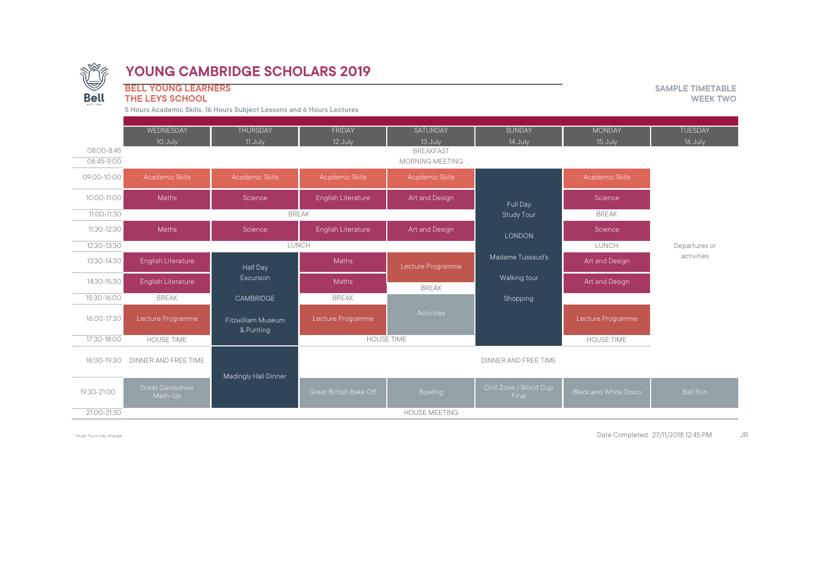

**BELL YOUNG LEARNERS**<br> **BELL YOUNG LEARNERS**<br> **THE LEYS SCHOOL** 

**THE LEYS SCHOOL** 

**5 Hours Academic Skills, 16 Hours Subject Lessons and 6 Hours Lectures**

|             | WEDNESDAY                 | <b>THURSDAY</b>                 | <b>FRIDAY</b>             | <b>SATURDAY</b>        | <b>SUNDAY</b>                   | <b>MONDAY</b>                | <b>TUESDAY</b>  |
|-------------|---------------------------|---------------------------------|---------------------------|------------------------|---------------------------------|------------------------------|-----------------|
|             | 10 July                   | 11 July                         | 12 July                   | 13 July                | 14 July                         | 15 July                      | 16 July         |
| 08:00-8:45  |                           |                                 |                           | <b>BREAKFAST</b>       |                                 |                              |                 |
| 08:45-9:00  |                           |                                 |                           | <b>MORNING MEETING</b> |                                 |                              |                 |
| 09:00-10:00 | <b>Academic Skills</b>    | <b>Academic Skills</b>          | <b>Academic Skills</b>    | <b>Academic Skills</b> |                                 | <b>Academic Skills</b>       |                 |
| 10:00-11:00 | <b>Maths</b>              | Science                         | English Literature        | Art and Design         | Full Day                        | Science                      |                 |
| 11:00-11:30 |                           | <b>BREAK</b>                    |                           |                        |                                 | <b>BREAK</b>                 |                 |
| 11:30-12:30 | <b>Maths</b>              | Science                         | <b>English Literature</b> | Art and Design         | <b>LONDON</b>                   | Science                      |                 |
| 12:30-13:30 |                           | LUNCH                           |                           |                        |                                 | LUNCH                        | Departures or   |
| 13:30-14:30 | English Literature        | Half Day                        | Maths                     | Lecture Programme      | Madame Tussaud's                | Art and Design               | activities      |
| 14:30-15:30 | English Literature        | Excursion                       | <b>Maths</b>              | <b>BREAK</b>           | Walking tour                    | Art and Design               |                 |
| 15:30-16:00 | <b>BREAK</b>              | CAMBRIDGE                       | <b>BREAK</b>              |                        | Shopping                        |                              |                 |
| 16:00-17:30 | Lecture Programme         | Fitzwilliam Museum<br>& Punting | Lecture Programme         | Activities             |                                 | Lecture Programme            |                 |
| 17:30-18:00 | <b>HOUSE TIME</b>         |                                 | <b>HOUSE TIME</b>         |                        |                                 | <b>HOUSE TIME</b>            |                 |
| 18:00-19:30 | DINNER AND FREE TIME      | Madingly Hall Dinner            |                           |                        | DINNER AND FREE TIME            |                              |                 |
| 19:30-21:00 | Great Gameshow<br>Mash-Up |                                 | Great British Bake Off    | Bowling                | Chill Zone / World Cup<br>Final | <b>Black and White Disco</b> | <b>Ball Run</b> |
| 21:00-21:30 |                           |                                 |                           | <b>HOUSE MEETING</b>   |                                 |                              |                 |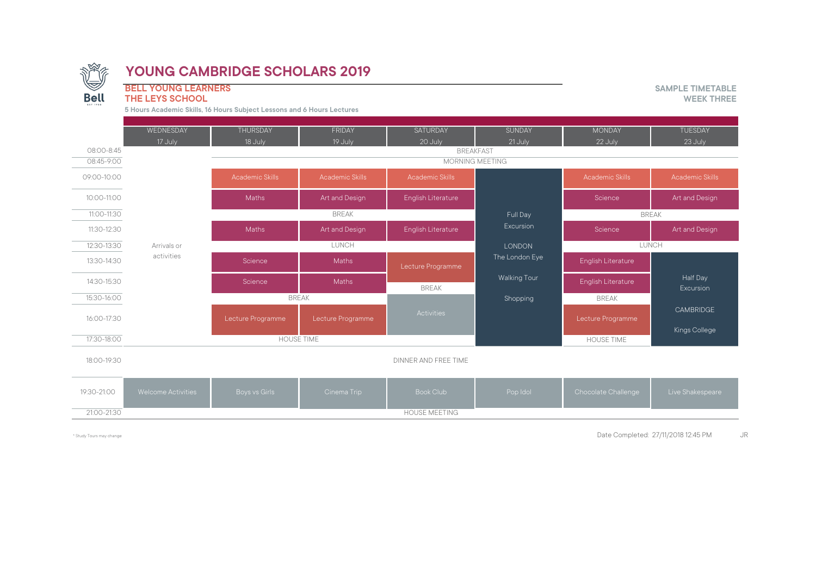

#### **THE LEYS SCHOOL**

**BELL YOUNG LEARNERS SAMPLE TIMETABLE**

**5 Hours Academic Skills, 16 Hours Subject Lessons and 6 Hours Lectures**

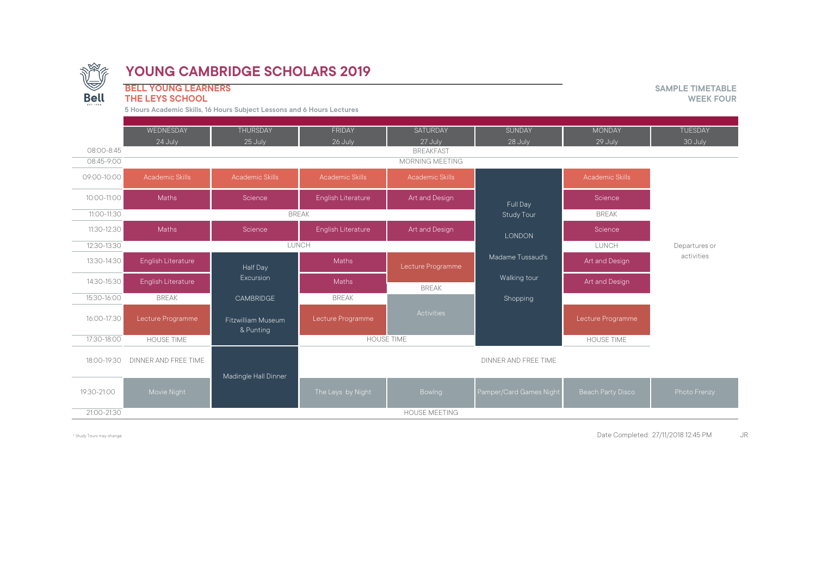

**BELL YOUNG LEARNERS**<br> **BELL YOUNG LEARNERS**<br> **THE LEYS SCHOOL** WEEK FOUR

**THE LEYS SCHOOL** 

**5 Hours Academic Skills, 16 Hours Subject Lessons and 6 Hours Lectures**

|                          | WEDNESDAY              | <b>THURSDAY</b>                 | FRIDAY                 | <b>SATURDAY</b>                            | <b>SUNDAY</b>           | <b>MONDAY</b>          | <b>TUESDAY</b> |
|--------------------------|------------------------|---------------------------------|------------------------|--------------------------------------------|-------------------------|------------------------|----------------|
|                          | 24 July                | 25 July                         | 26 July                | 27 July                                    | 28 July                 | 29 July                | 30 July        |
| 08:00-8:45<br>08:45-9:00 |                        |                                 |                        | <b>BREAKFAST</b><br><b>MORNING MEETING</b> |                         |                        |                |
|                          |                        |                                 |                        |                                            |                         |                        |                |
| 09:00-10:00              | <b>Academic Skills</b> | Academic Skills                 | <b>Academic Skills</b> | <b>Academic Skills</b>                     |                         | <b>Academic Skills</b> |                |
| 10:00-11:00              | <b>Maths</b>           | Science                         | English Literature     | Art and Design                             | Full Day                | Science                |                |
| 11:00-11:30              |                        | <b>BREAK</b>                    |                        |                                            |                         | <b>BREAK</b>           |                |
| 11:30-12:30              | <b>Maths</b>           | Science                         | English Literature     | Art and Design                             | <b>LONDON</b>           | Science                |                |
| 12:30-13:30              |                        | LUNCH                           |                        |                                            |                         | LUNCH                  | Departures or  |
| 13:30-14:30              | English Literature     | Half Day                        | Maths                  | Lecture Programme                          | Madame Tussaud's        | Art and Design         | activities     |
| 14:30-15:30              | English Literature     | Excursion                       | Maths                  | <b>BREAK</b>                               | Walking tour            | Art and Design         |                |
| 15:30-16:00              | <b>BREAK</b>           | <b>CAMBRIDGE</b>                | <b>BREAK</b>           |                                            | Shopping                |                        |                |
| 16:00-17:30              | Lecture Programme      | Fitzwilliam Museum<br>& Punting | Lecture Programme      | Activities                                 |                         | Lecture Programme      |                |
| 17:30-18:00              | <b>HOUSE TIME</b>      | <b>HOUSE TIME</b>               |                        |                                            |                         | <b>HOUSE TIME</b>      |                |
| 18:00-19:30              | DINNER AND FREE TIME   | Madingle Hall Dinner            |                        |                                            | DINNER AND FREE TIME    |                        |                |
| 19:30-21:00              | Movie Night            |                                 | The Leys by Night      | Bowlng                                     | Pamper/Card Games Night | Beach Party Disco      | Photo Frenzy   |
| 21:00-21:30              |                        |                                 |                        | <b>HOUSE MEETING</b>                       |                         |                        |                |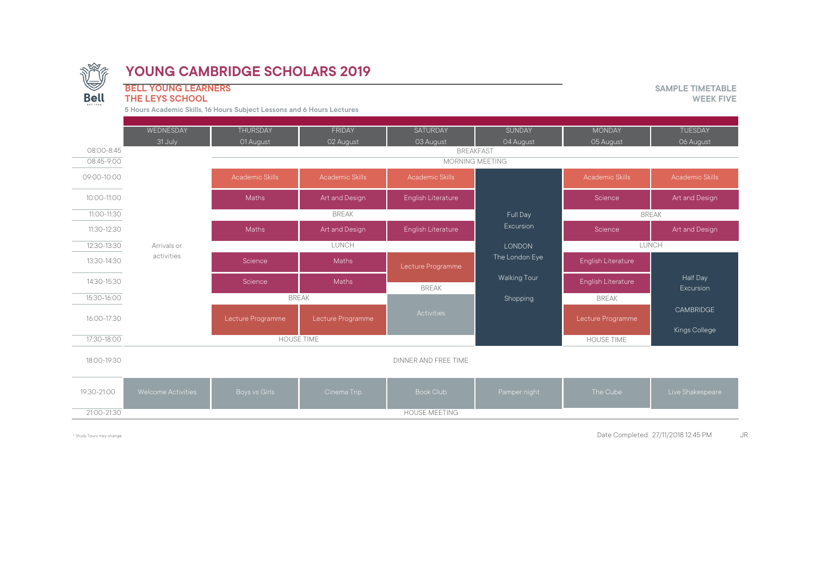

**BELL YOUNG LEARNERS SAMPLE TIMETABLE**

#### **THE LEYS SCHOOL**

**5 Hours Academic Skills, 16 Hours Subject Lessons and 6 Hours Lectures**